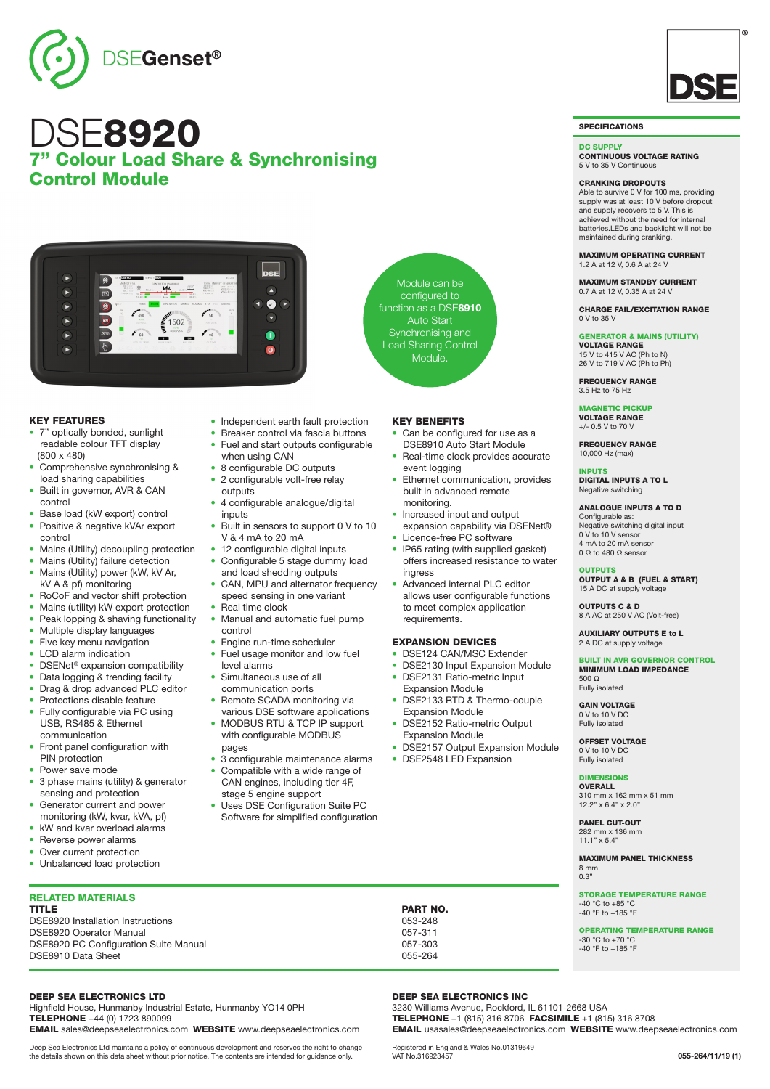

## DSE8920 7" Colour Load Share & Synchronising Control Module



#### KEY FEATURES

- 7" optically bonded, sunlight readable colour TFT display (800 x 480)
- Comprehensive synchronising & load sharing capabilities
- Built in governor, AVR & CAN control
- Base load (kW export) control • Positive & negative kVAr export
- control • Mains (Utility) decoupling protection
- Mains (Utility) failure detection
- Mains (Utility) power (kW, kV Ar, kV A & pf) monitoring
- RoCoF and vector shift protection
- Mains (utility) kW export protection
- Peak lopping & shaving functionality
- Multiple display languages
- Five key menu navigation
- LCD alarm indication
- DSENet® expansion compatibility
- Data logging & trending facility
- Drag & drop advanced PLC editor
- Protections disable feature • Fully configurable via PC using USB, RS485 & Ethernet
- communication • Front panel configuration with
- PIN protection Power save mode
- 3 phase mains (utility) & generator
- sensing and protection Generator current and power
- monitoring (kW, kvar, kVA, pf)
- kW and kvar overload alarms
- Reverse power alarms
- Over current protection
- Unbalanced load protection

### RELATED MATERIALS TITLE PART NO.

DSE8920 Installation Instructions 053-248 DSE8920 Operator Manual 057-311 DSE8920 PC Configuration Suite Manual 057-303 DSE8910 Data Sheet 055-264

#### DEEP SEA ELECTRONICS LTD

Highfield House, Hunmanby Industrial Estate, Hunmanby YO14 0PH

TELEPHONE +44 (0) 1723 890099 EMAIL sales@deepseaelectronics.com WEBSITE www.deepseaelectronics.com

Deep Sea Electronics Ltd maintains a policy of continuous development and reserves the right to change the details shown on this data sheet without prior notice. The contents are intended for guidance only.

- Independent earth fault protection
- Breaker control via fascia buttons • Fuel and start outputs configurable
- when using CAN
- 8 configurable DC outputs
- 2 configurable volt-free relay outputs
- 4 configurable analogue/digital inputs
- Built in sensors to support 0 V to 10 V & 4 mA to 20 mA
- 12 configurable digital inputs
- Configurable 5 stage dummy load and load shedding outputs
- CAN, MPU and alternator frequency speed sensing in one variant
- Real time clock • Manual and automatic fuel pump
- control
- Engine run-time scheduler • Fuel usage monitor and low fuel
- level alarms Simultaneous use of all
- communication ports Remote SCADA monitoring via
- various DSE software applications • MODBUS RTU & TCP IP support
- with configurable MODBUS pages
- 3 configurable maintenance alarms
- Compatible with a wide range of CAN engines, including tier 4F, stage 5 engine support
- Uses DSE Configuration Suite PC Software for simplified configuration

#### KEY BENEFITS

Module can be configured to function as a DSE**8910**  Auto Start Synchronising and Load Sharing Control Module.

- Can be configured for use as a DSE8910 Auto Start Module
- Real-time clock provides accurate event logging
- Ethernet communication, provides built in advanced remote
- Increased input and output
- Licence-free PC software
- IP65 rating (with supplied gasket) offers increased resistance to water ingress
- allows user configurable functions to meet complex application requirements.

#### EXPANSION DEVICES

- DSE124 CAN/MSC Extender
- 
- Expansion Module
- Expansion Module
- 
- 
- 
- - Advanced internal PLC editor

- 
- DSE2130 Input Expansion Module
- DSE2131 Ratio-metric Input
- DSE2133 RTD & Thermo-couple
- DSE2152 Ratio-metric Output
- Expansion Module

DEEP SEA ELECTRONICS INC

Registered in England & Wales No.01319649 VAT No.316923457

3230 Williams Avenue, Rockford, IL 61101-2668 USA

TELEPHONE +1 (815) 316 8706 FACSIMILE +1 (815) 316 8708

EMAIL usasales@deepseaelectronics.com WEBSITE www.deepseaelectronics.com

- monitoring.
- expansion capability via DSENet®
	-

- 
- 
- 
- 
- 
- DSE2157 Output Expansion Module
- DSE2548 LED Expansion

#### Fully isolated DIMENSIONS **OVERALL**

500 Ω Fully isolated GAIN VOLTAGE 0 V to 10 V DC Fully isolated OFFSET VOLTAGE 0 V to 10 V DC

SPECIFICATIONS DC SUPPLY

CONTINUOUS VOLTAGE RATING 5 V to 35 V Continuous CRANKING DROPOUTS

Able to survive 0 V for 100 ms, providing supply was at least 10 V before dropout and supply recovers to 5 V. This is achieved without the need for internal batteries.LEDs and backlight will not be maintained during cranking. MAXIMUM OPERATING CURRENT 1.2 A at 12 V, 0.6 A at 24 V MAXIMUM STANDBY CURRENT 0.7 A at 12 V, 0.35 A at 24 V

CHARGE FAIL/EXCITATION RANGE

GENERATOR & MAINS (UTILITY)

0 V to 35 V

VOLTAGE RANGE 15 V to 415 V AC (Ph to N) 26 V to 719 V AC (Ph to Ph) FREQUENCY RANGE 3.5 Hz to 75 Hz MAGNETIC PICKUP VOLTAGE RANGE +/- 0.5 V to 70 V FREQUENCY RANGE 10,000 Hz (max)

INPUTS DIGITAL INPUTS A TO L Negative switching

ANALOGUE INPUTS A TO D Configurable as: Negative switching digital input 0 V to 10 V sensor 4 mA to 20 mA sensor 0 Ω to 480 Ω sensor **OUTPUTS** 

OUTPUT A & B (FUEL & START) 15 A DC at supply voltage

BUILT IN AVR GOVERNOR CONTROL MINIMUM LOAD IMPEDANCE

OUTPUTS C & D 8 A AC at 250 V AC (Volt-free) AUXILIARY OUTPUTS E to L 2 A DC at supply voltage

310 mm x 162 mm x 51 mm 12.2" x 6.4" x 2.0"

PANEL CUT-OUT 282 mm x 136 mm 11.1"  $\times$  5.4"

-30 °C to +70 °C -40 °F to +185 °F

MAXIMUM PANEL THICKNESS 8 mm 0.3"

STORAGE TEMPERATURE RANGE -40 °C to +85 °C -40 °F to +185 °F

OPERATING TEMPERATURE RANGE

**055-264/11/19 (1)**